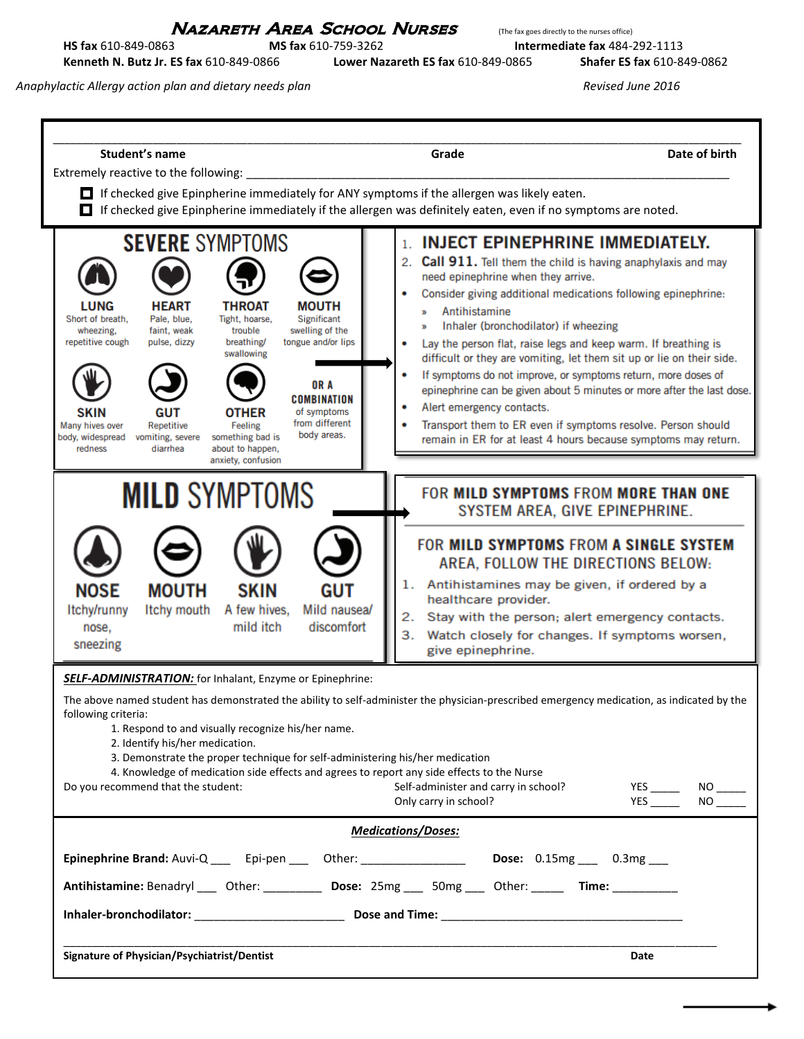## NAZARETH AREA SCHOOL NURSES (The fax goes directly to the nurses office)

**HS fax** 610-849-0863 **MS fax** 610-759-3262 **Intermediate fax** 484-292-1113 **Kenneth N. Butz Jr. ES fax** 610-849-0866 **Lower Nazareth ES fax** 610-849-0865 **Shafer ES fax** 610-849-0862

*Anaphylactic Allergy action plan and dietary needs plan Revised June 2016*

| Student's name                                                                                                                                                                                                                                                                                                                                                                                                                                           | Grade<br>Date of birth                                                                                                                                                                                                                                                                                                                                                                                                                                                                                                                                                                                                                                                                                                                                                                                                                                                                                                   |
|----------------------------------------------------------------------------------------------------------------------------------------------------------------------------------------------------------------------------------------------------------------------------------------------------------------------------------------------------------------------------------------------------------------------------------------------------------|--------------------------------------------------------------------------------------------------------------------------------------------------------------------------------------------------------------------------------------------------------------------------------------------------------------------------------------------------------------------------------------------------------------------------------------------------------------------------------------------------------------------------------------------------------------------------------------------------------------------------------------------------------------------------------------------------------------------------------------------------------------------------------------------------------------------------------------------------------------------------------------------------------------------------|
| Extremely reactive to the following: ___________<br>0                                                                                                                                                                                                                                                                                                                                                                                                    | $\Box$ If checked give Epinpherine immediately for ANY symptoms if the allergen was likely eaten.<br>If checked give Epinpherine immediately if the allergen was definitely eaten, even if no symptoms are noted.                                                                                                                                                                                                                                                                                                                                                                                                                                                                                                                                                                                                                                                                                                        |
| <b>SEVERE SYMPTOMS</b><br><b>LUNG</b><br><b>HEART</b><br><b>THROAT</b><br>Short of breath,<br>Pale, blue,<br>Tight, hoarse,<br>faint, weak<br>trouble<br>wheezing,<br>breathing/<br>repetitive cough<br>pulse, dizzy<br>swallowing<br><b>SKIN</b><br><b>GUT</b><br><b>OTHER</b><br>Repetitive<br>Feeling<br>Many hives over<br>body, widespread<br>vomiting, severe<br>something bad is<br>diarrhea<br>redness<br>about to happen,<br>anxiety, confusion | <b>INJECT EPINEPHRINE IMMEDIATELY.</b><br>1.<br>2. Call 911. Tell them the child is having anaphylaxis and may<br>need epinephrine when they arrive.<br>Consider giving additional medications following epinephrine:<br><b>MOUTH</b><br>Antihistamine<br>y,<br>Significant<br>Inhaler (bronchodilator) if wheezing<br>$\mathbf{B}$<br>swelling of the<br>tongue and/or lips<br>Lay the person flat, raise legs and keep warm. If breathing is<br>۰<br>difficult or they are vomiting, let them sit up or lie on their side.<br>If symptoms do not improve, or symptoms return, more doses of<br>٠<br>OR A<br>epinephrine can be given about 5 minutes or more after the last dose.<br><b>COMBINATION</b><br>Alert emergency contacts.<br>of symptoms<br>from different<br>Transport them to ER even if symptoms resolve. Person should<br>body areas.<br>remain in ER for at least 4 hours because symptoms may return. |
| <b>MILD SYMPTOMS</b>                                                                                                                                                                                                                                                                                                                                                                                                                                     | FOR MILD SYMPTOMS FROM MORE THAN ONE<br>SYSTEM AREA, GIVE EPINEPHRINE.                                                                                                                                                                                                                                                                                                                                                                                                                                                                                                                                                                                                                                                                                                                                                                                                                                                   |
| <b>MOUTH</b><br><b>SKIN</b><br><b>NOSE</b><br>A few hives,<br>Itchy/runny<br>Itchy mouth<br>mild itch<br>nose.<br>sneezing                                                                                                                                                                                                                                                                                                                               | FOR MILD SYMPTOMS FROM A SINGLE SYSTEM<br>AREA, FOLLOW THE DIRECTIONS BELOW:<br>Antihistamines may be given, if ordered by a<br>1.<br><b>GUT</b><br>healthcare provider.<br>Mild nausea/<br>Stay with the person; alert emergency contacts.<br>2.<br>discomfort<br>3.<br>Watch closely for changes. If symptoms worsen,<br>give epinephrine.                                                                                                                                                                                                                                                                                                                                                                                                                                                                                                                                                                             |
| <b>SELF-ADMINISTRATION:</b> for Inhalant, Enzyme or Epinephrine:<br>following criteria:<br>1. Respond to and visually recognize his/her name.<br>2. Identify his/her medication.<br>3. Demonstrate the proper technique for self-administering his/her medication<br>Do you recommend that the student:                                                                                                                                                  | The above named student has demonstrated the ability to self-administer the physician-prescribed emergency medication, as indicated by the<br>4. Knowledge of medication side effects and agrees to report any side effects to the Nurse<br>Self-administer and carry in school?<br>Only carry in school?                                                                                                                                                                                                                                                                                                                                                                                                                                                                                                                                                                                                                |
|                                                                                                                                                                                                                                                                                                                                                                                                                                                          | <b>Medications/Doses:</b>                                                                                                                                                                                                                                                                                                                                                                                                                                                                                                                                                                                                                                                                                                                                                                                                                                                                                                |
|                                                                                                                                                                                                                                                                                                                                                                                                                                                          | Epinephrine Brand: Auvi-Q _____ Epi-pen _____ Other: _______________________ Dose: 0.15mg ____ 0.3mg ____                                                                                                                                                                                                                                                                                                                                                                                                                                                                                                                                                                                                                                                                                                                                                                                                                |
|                                                                                                                                                                                                                                                                                                                                                                                                                                                          | Antihistamine: Benadryl ____ Other: ____________ Dose: 25mg ____ 50mg ____ Other: ______ Time: ___________                                                                                                                                                                                                                                                                                                                                                                                                                                                                                                                                                                                                                                                                                                                                                                                                               |
|                                                                                                                                                                                                                                                                                                                                                                                                                                                          |                                                                                                                                                                                                                                                                                                                                                                                                                                                                                                                                                                                                                                                                                                                                                                                                                                                                                                                          |